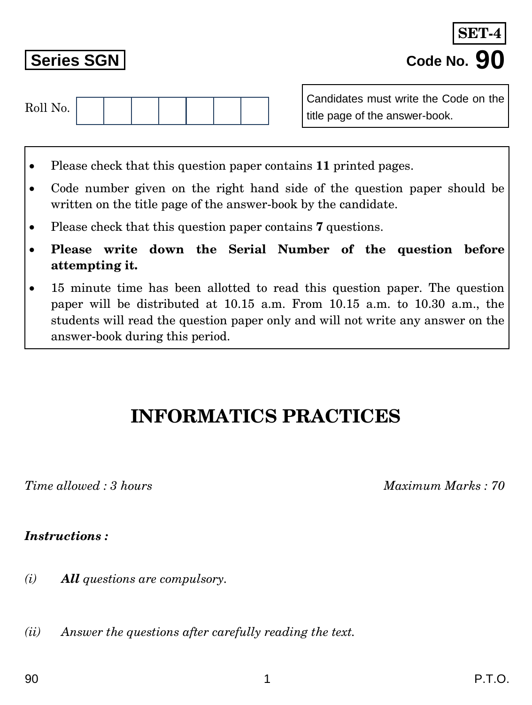*(i) All questions are compulsory.*

*(ii) Answer the questions after carefully reading the text.*

Candidates must write the Code on the

title page of the answer-book.



- Code number given on the right hand side of the question paper should be written on the title page of the answer-book by the candidate.
- Please check that this question paper contains **7** questions.
- **Please write down the Serial Number of the question before attempting it.**
- 15 minute time has been allotted to read this question paper. The question paper will be distributed at 10.15 a.m. From 10.15 a.m. to 10.30 a.m., the students will read the question paper only and will not write any answer on the answer-book during this period.

## **INFORMATICS PRACTICES**

*Time allowed : 3 hours Maximum Marks : 70*

*Instructions :*

| Roll No. |  |  |  |  |
|----------|--|--|--|--|
|          |  |  |  |  |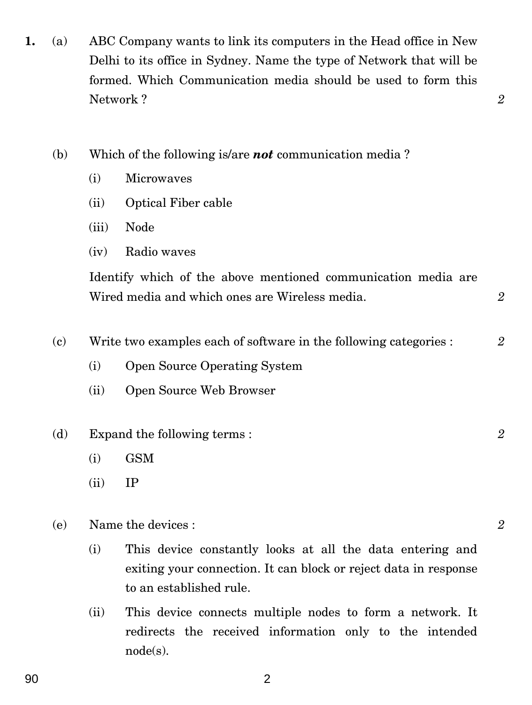- **1.** (a) ABC Company wants to link its computers in the Head office in New Delhi to its office in Sydney. Name the type of Network that will be formed. Which Communication media should be used to form this Network ? *2*
	- (b) Which of the following is/are *not* communication media ?
		- (i) Microwaves
		- (ii) Optical Fiber cable
		- (iii) Node
		- (iv) Radio waves

Identify which of the above mentioned communication media are Wired media and which ones are Wireless media. *2*

- (c) Write two examples each of software in the following categories : *2*
	- (i) Open Source Operating System
	- (ii) Open Source Web Browser
- (d) Expand the following terms : *2*
	- (i) GSM
	- $(ii)$  IP
- (e) Name the devices : *2*
	- (i) This device constantly looks at all the data entering and exiting your connection. It can block or reject data in response to an established rule.
	- (ii) This device connects multiple nodes to form a network. It redirects the received information only to the intended node(s).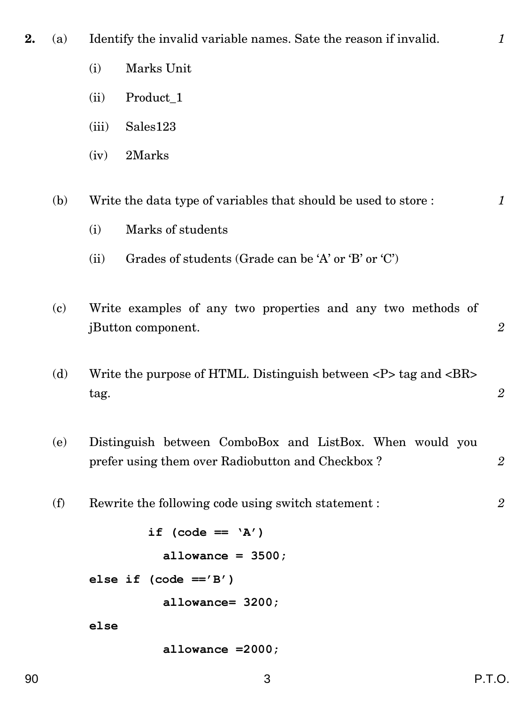**2.** (a) Identify the invalid variable names. Sate the reason if invalid. *1*

- (i) Marks Unit
- (ii) Product\_1
- (iii) Sales123
- (iv) 2Marks

(b) Write the data type of variables that should be used to store : *1*

- (i) Marks of students
- (ii) Grades of students (Grade can be 'A' or 'B' or 'C')
- (c) Write examples of any two properties and any two methods of jButton component. *2*
- (d) Write the purpose of HTML. Distinguish between  $\langle P \rangle$  tag and  $\langle BR \rangle$ tag. *2*
- (e) Distinguish between ComboBox and ListBox. When would you prefer using them over Radiobutton and Checkbox ? 2
- (f) Rewrite the following code using switch statement : *2*

**if (code == 'A') allowance = 3500;**

**else if (code =='B')**

 **allowance= 3200;**

**else**

 **allowance =2000;**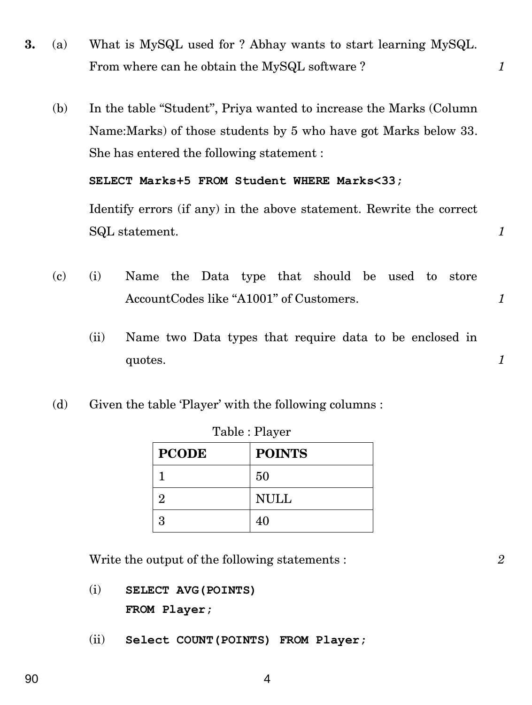- **3.** (a) What is MySQL used for ? Abhay wants to start learning MySQL. From where can he obtain the MySQL software ? *1* 
	- (b) In the table ''Student'', Priya wanted to increase the Marks (Column Name:Marks) of those students by 5 who have got Marks below 33. She has entered the following statement :

**SELECT Marks+5 FROM Student WHERE Marks<33;**

Identify errors (if any) in the above statement. Rewrite the correct SQL statement. **1** 

- (c) (i) Name the Data type that should be used to store AccountCodes like "A1001" of Customers. *1* 
	- (ii) Name two Data types that require data to be enclosed in  $\alpha$  *quotes.*  $1$
- (d) Given the table 'Player' with the following columns :

| $1$ avic $\cdot$ 1 layer |               |  |
|--------------------------|---------------|--|
| <b>PCODE</b>             | <b>POINTS</b> |  |
|                          | 50            |  |
| 2                        | <b>NULL</b>   |  |
| 3                        | 40            |  |

Table : Player

Write the output of the following statements : *2*

- (i) **SELECT AVG(POINTS) FROM Player;**
- (ii) **Select COUNT(POINTS) FROM Player;**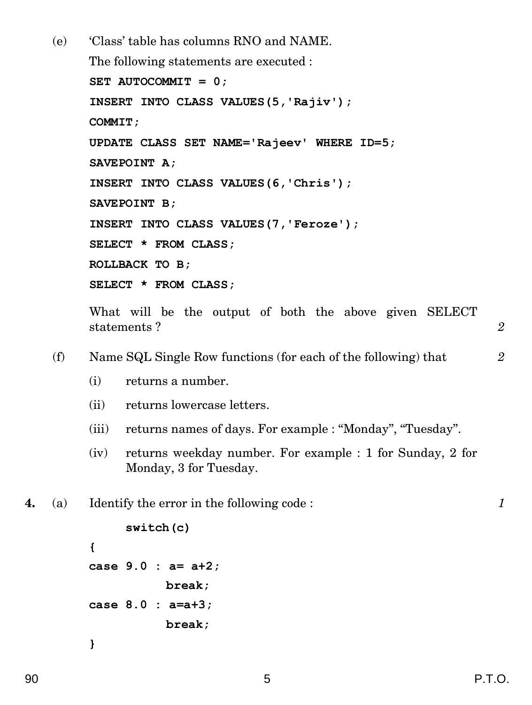(e) 'Class' table has columns RNO and NAME. The following statements are executed : **SET AUTOCOMMIT = 0; INSERT INTO CLASS VALUES(5,'Rajiv'); COMMIT; UPDATE CLASS SET NAME='Rajeev' WHERE ID=5; SAVEPOINT A; INSERT INTO CLASS VALUES(6,'Chris'); SAVEPOINT B; INSERT INTO CLASS VALUES(7,'Feroze'); SELECT \* FROM CLASS; ROLLBACK TO B; SELECT \* FROM CLASS;** What will be the output of both the above given SELECT

statements ? **2** 2

(f) Name SQL Single Row functions (for each of the following) that *2*

- (i) returns a number.
- (ii) returns lowercase letters.
- (iii) returns names of days. For example : "Monday", "Tuesday".
- (iv) returns weekday number. For example : 1 for Sunday, 2 for Monday, 3 for Tuesday.

**4.** (a) Identify the error in the following code : *1*

```
switch(c)
{
case 9.0 : a= a+2;
           break;
case 8.0 : a=a+3;
           break;
}
```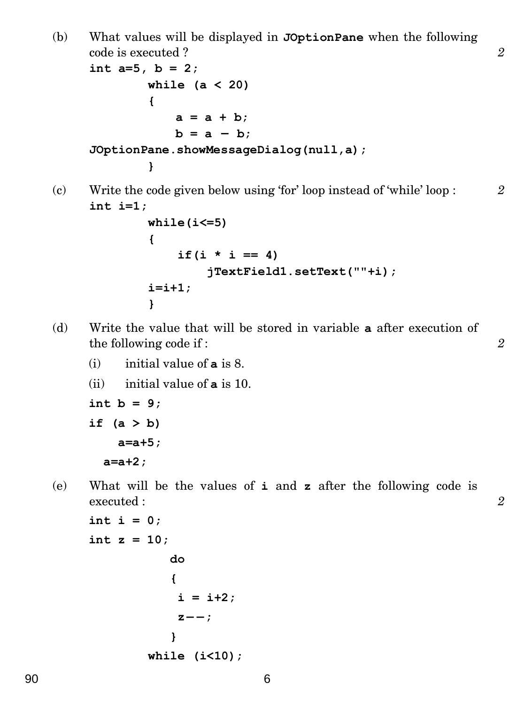(b) What values will be displayed in **JOptionPane** when the following code is executed ? *2*

```
int a=5, b = 2;
        while (a < 20)
        {
            a = a + b;
            b = a - b;
JOptionPane.showMessageDialog(null,a);
         }
```
(c) Write the code given below using 'for' loop instead of 'while' loop : *2* **int i=1;**

```
while(i<=5)
{
    if(i * i == 4) jTextField1.setText(""+i);
i=i+1;
}
```
- (d) Write the value that will be stored in variable **a** after execution of the following code if : *2*
	- (i) initial value of **a** is 8.
	- (ii) initial value of **a** is 10.

```
int b = 9;
if (a > b)
     a=a+5;
```
 **a=a+2;**

(e) What will be the values of **i** and **z** after the following code is executed : *2*

```
int i = 0;
int z = 10;
               do
               {
               i = i+2;z<sup>-</sup>;
               }
          while (i<10);
```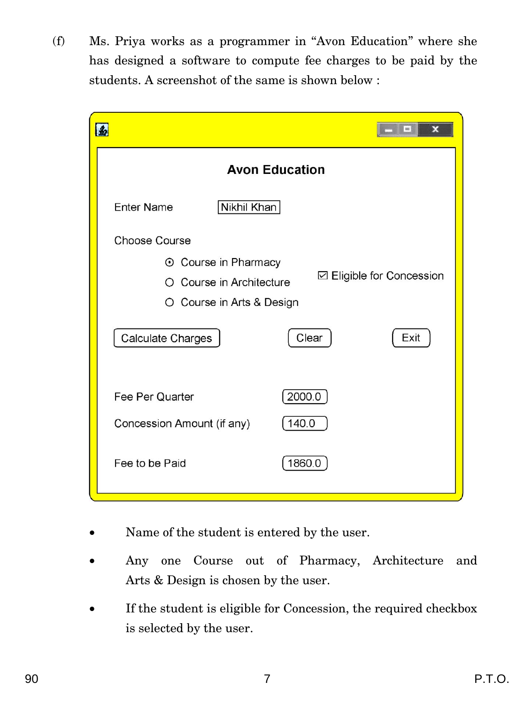(f) Ms. Priya works as a programmer in ''Avon Education'' where she has designed a software to compute fee charges to be paid by the students. A screenshot of the same is shown below :

|                                                                                                                            | x<br>$\mathbf{m}$                                 |
|----------------------------------------------------------------------------------------------------------------------------|---------------------------------------------------|
|                                                                                                                            | <b>Avon Education</b>                             |
| Nikhil Khan<br><b>Enter Name</b>                                                                                           |                                                   |
| <b>Choose Course</b><br>⊙ Course in Pharmacy<br>O Course in Architecture<br>O Course in Arts & Design<br>Calculate Charges | <b>□ Eligible for Concession</b><br>Clear<br>Exit |
| Fee Per Quarter<br>Concession Amount (if any)<br>Fee to be Paid                                                            | 2000.0<br>140.0<br>1860.0                         |

- Name of the student is entered by the user.
- Any one Course out of Pharmacy, Architecture and Arts & Design is chosen by the user.
- If the student is eligible for Concession, the required checkbox is selected by the user.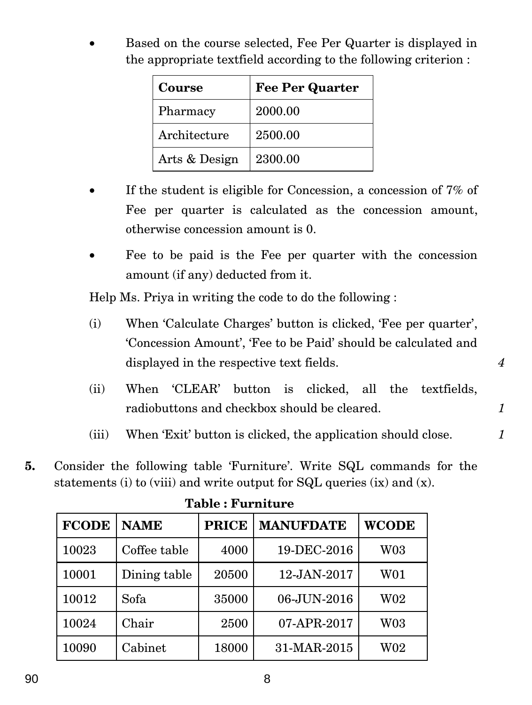Based on the course selected, Fee Per Quarter is displayed in the appropriate textfield according to the following criterion :

| Course        | <b>Fee Per Quarter</b> |
|---------------|------------------------|
| Pharmacy      | 2000.00                |
| Architecture  | 2500.00                |
| Arts & Design | 2300.00                |

- If the student is eligible for Concession, a concession of 7% of Fee per quarter is calculated as the concession amount, otherwise concession amount is 0.
- Fee to be paid is the Fee per quarter with the concession amount (if any) deducted from it.

Help Ms. Priya in writing the code to do the following :

- (i) When 'Calculate Charges' button is clicked, 'Fee per quarter', 'Concession Amount', 'Fee to be Paid' should be calculated and displayed in the respective text fields.  $\overline{4}$
- (ii) When 'CLEAR' button is clicked, all the textfields, radiobuttons and checkbox should be cleared. *1*
- (iii) When 'Exit' button is clicked, the application should close. *1*
- **5.** Consider the following table 'Furniture'. Write SQL commands for the statements (i) to (viii) and write output for SQL queries (ix) and (x).

| <b>FCODE</b> | <b>NAME</b>  | <b>PRICE</b> | <b>MANUFDATE</b> | <b>WCODE</b>    |
|--------------|--------------|--------------|------------------|-----------------|
| 10023        | Coffee table | 4000         | 19-DEC-2016      | <b>W03</b>      |
| 10001        | Dining table | 20500        | 12-JAN-2017      | W01             |
| 10012        | Sofa         | 35000        | 06-JUN-2016      | $\rm W02$       |
| 10024        | Chair        | 2500         | 07-APR-2017      | W <sub>03</sub> |
| 10090        | Cabinet      | 18000        | 31-MAR-2015      | W <sub>02</sub> |

**Table : Furniture**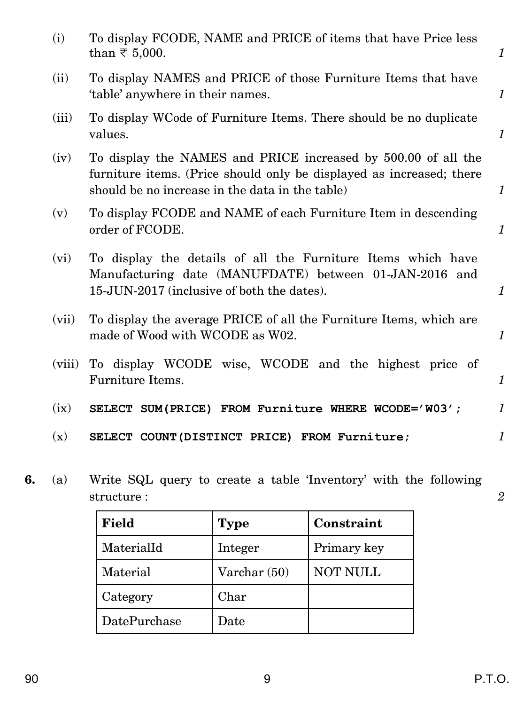|    | (i)    | To display FCODE, NAME and PRICE of items that have Price less<br>than $\overline{\tau}$ 5,000.                                                                                          | $\mathcal{I}$    |
|----|--------|------------------------------------------------------------------------------------------------------------------------------------------------------------------------------------------|------------------|
|    | (ii)   | To display NAMES and PRICE of those Furniture Items that have<br>'table' anywhere in their names.                                                                                        | $\mathcal{I}$    |
|    | (iii)  | To display WCode of Furniture Items. There should be no duplicate<br>values.                                                                                                             | $\mathcal{I}$    |
|    | (iv)   | To display the NAMES and PRICE increased by 500.00 of all the<br>furniture items. (Price should only be displayed as increased; there<br>should be no increase in the data in the table) | $\mathcal{I}$    |
|    | (v)    | To display FCODE and NAME of each Furniture Item in descending<br>order of FCODE.                                                                                                        | $\mathcal{I}$    |
|    | (vi)   | To display the details of all the Furniture Items which have<br>Manufacturing date (MANUFDATE) between 01-JAN-2016 and<br>15-JUN-2017 (inclusive of both the dates).                     | $\mathbf{1}$     |
|    | (vii)  | To display the average PRICE of all the Furniture Items, which are<br>made of Wood with WCODE as W02.                                                                                    | $\mathcal{I}$    |
|    | (viii) | To display WCODE wise, WCODE and the highest price of<br>Furniture Items.                                                                                                                | $\mathcal{I}$    |
|    | (ix)   | SELECT SUM(PRICE) FROM Furniture WHERE WCODE='W03';                                                                                                                                      | $\mathcal{I}$    |
|    | (x)    | SELECT COUNT (DISTINCT PRICE) FROM Furniture;                                                                                                                                            | 1                |
| 6. | (a)    | Write SQL query to create a table 'Inventory' with the following<br>structure:                                                                                                           | $\boldsymbol{2}$ |

| Field        | <b>Type</b>  | Constraint      |
|--------------|--------------|-----------------|
| MaterialId   | Integer      | Primary key     |
| Material     | Varchar (50) | <b>NOT NULL</b> |
| Category     | Char         |                 |
| DatePurchase | ${\rm Date}$ |                 |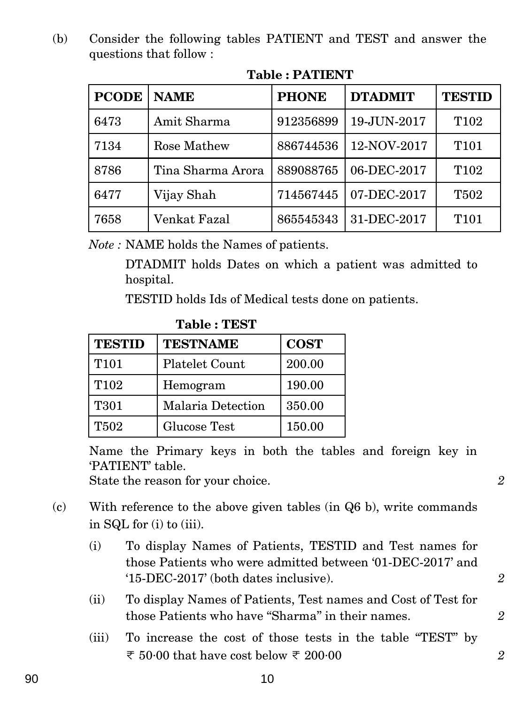(b) Consider the following tables PATIENT and TEST and answer the questions that follow :

| <b>PCODE</b> | <b>NAME</b>       | <b>PHONE</b> | <b>DTADMIT</b> | <b>TESTID</b>    |
|--------------|-------------------|--------------|----------------|------------------|
| 6473         | Amit Sharma       | 912356899    | 19-JUN-2017    | T <sub>102</sub> |
| 7134         | Rose Mathew       | 886744536    | 12-NOV-2017    | T <sub>101</sub> |
| 8786         | Tina Sharma Arora | 889088765    | 06-DEC-2017    | T <sub>102</sub> |
| 6477         | Vijay Shah        | 714567445    | 07-DEC-2017    | <b>T502</b>      |
| 7658         | Venkat Fazal      | 865545343    | 31-DEC-2017    | T <sub>101</sub> |

## **Table : PATIENT**

*Note :* NAME holds the Names of patients.

DTADMIT holds Dates on which a patient was admitted to hospital.

TESTID holds Ids of Medical tests done on patients.

| <b>TESTID</b>    | <b>TESTNAME</b>          | <b>COST</b> |
|------------------|--------------------------|-------------|
| T <sub>101</sub> | <b>Platelet Count</b>    | 200.00      |
| T <sub>102</sub> | Hemogram                 | 190.00      |
| T301             | <b>Malaria Detection</b> | 350.00      |
| <b>T502</b>      | Glucose Test             | 150.00      |

**Table : TEST**

Name the Primary keys in both the tables and foreign key in 'PATIENT' table.

State the reason for your choice. **2** 

- (c) With reference to the above given tables (in Q6 b), write commands in SQL for (i) to (iii).
	- (i) To display Names of Patients, TESTID and Test names for those Patients who were admitted between '01-DEC-2017' and '15-DEC-2017' (both dates inclusive). *2*
	- (ii) To display Names of Patients, Test names and Cost of Test for those Patients who have "Sharma" in their names. 2
	- (iii) To increase the cost of those tests in the table ''TEST'' by  $\overline{\tau}$  50.00 that have cost below  $\overline{\tau}$  200.00 **2**